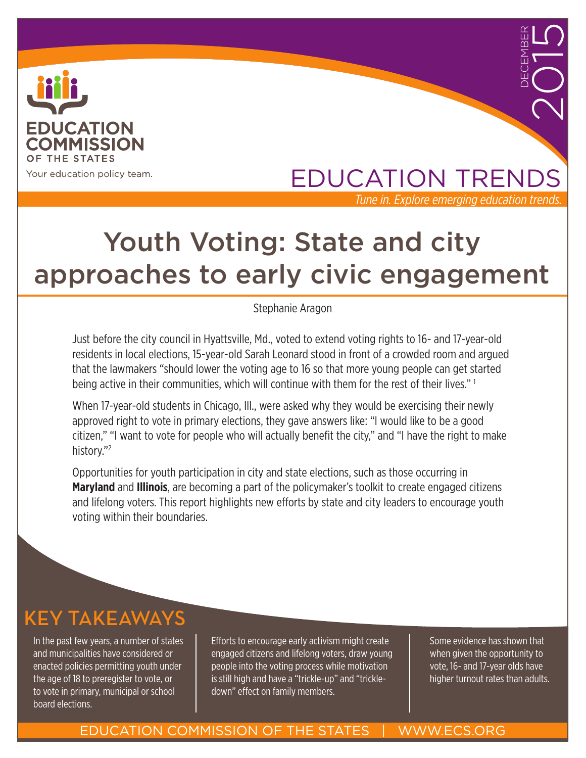

## EDUCATION TRENDS *Tune in. Explore emerging education trends.*

DECEMBER

2015

# Youth Voting: State and city approaches to early civic engagement

Stephanie Aragon

Just before the city council in Hyattsville, Md., voted to extend voting rights to 16- and 17-year-old residents in local elections, 15-year-old Sarah Leonard stood in front of a crowded room and argued that the lawmakers "should lower the voting age to 16 so that more young people can get started being active in their communities, which will continue with them for the rest of their lives." 1

When 17-year-old students in Chicago, Ill., were asked why they would be exercising their newly approved right to vote in primary elections, they gave answers like: "I would like to be a good citizen," "I want to vote for people who will actually benefit the city," and "I have the right to make history."<sup>2</sup>

Opportunities for youth participation in city and state elections, such as those occurring in **Maryland** and **Illinois**, are becoming a part of the policymaker's toolkit to create engaged citizens and lifelong voters. This report highlights new efforts by state and city leaders to encourage youth voting within their boundaries.

## KEY TAKEAWAYS

In the past few years, a number of states and municipalities have considered or enacted policies permitting youth under the age of 18 to preregister to vote, or to vote in primary, municipal or school board elections.

Efforts to encourage early activism might create engaged citizens and lifelong voters, draw young people into the voting process while motivation is still high and have a "trickle-up" and "trickledown" effect on family members.

Some evidence has shown that when given the opportunity to vote, 16- and 17-year olds have higher turnout rates than adults.

#### EDUCATION COMMISSION OF THE STATES | WWW.ECS.ORG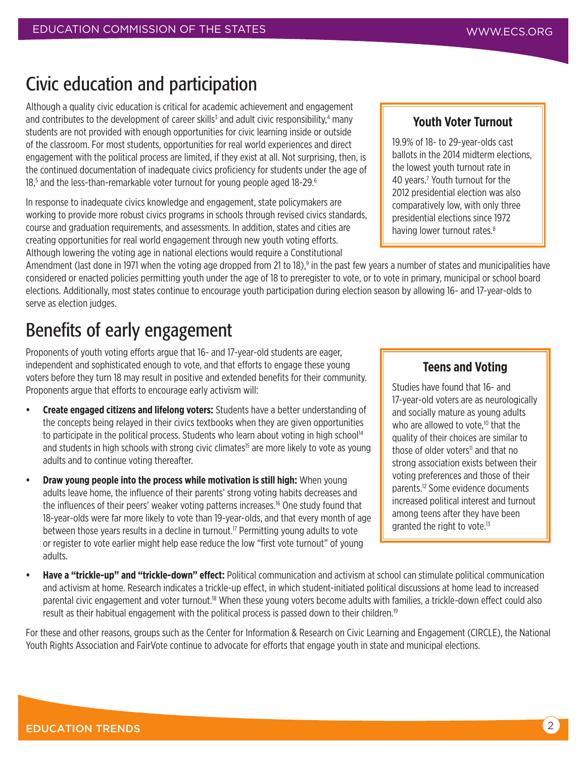## Civic education and participation

Although a quality civic education is critical for academic achievement and engagement and contributes to the development of career skills<sup>3</sup> and adult civic responsibility,<sup>4</sup> many students are not provided with enough opportunities for civic learning inside or outside of the classroom. For most students, opportunities for real world experiences and direct engagement with the political process are limited, if they exist at all. Not surprising, then, is the continued documentation of inadequate civics proficiency for students under the age of 18,<sup>5</sup> and the less-than-remarkable voter turnout for young people aged 18-29.<sup>6</sup>

In response to inadequate civics knowledge and engagement, state policymakers are working to provide more robust civics programs in schools through revised civics standards, course and graduation requirements, and assessments. In addition, states and cities are creating opportunities for real world engagement through new youth voting efforts. Although lowering the voting age in national elections would require a Constitutional

Amendment (last done in 1971 when the voting age dropped from 21 to 18),<sup>9</sup> in the past few years a number of states and municipalities have considered or enacted policies permitting youth under the age of 18 to preregister to vote, or to vote in primary, municipal or school board elections. Additionally, most states continue to encourage youth participation during election season by allowing 16- and 17-year-olds to serve as election judges.

## Benefits of early engagement

Proponents of youth voting efforts argue that 16- and 17-year-old students are eager, independent and sophisticated enough to vote, and that efforts to engage these young voters before they turn 18 may result in positive and extended benefits for their community. Proponents argue that efforts to encourage early activism will:

- **• Create engaged citizens and lifelong voters:** Students have a better understanding of the concepts being relayed in their civics textbooks when they are given opportunities to participate in the political process. Students who learn about voting in high school<sup>14</sup> and students in high schools with strong civic climates<sup>15</sup> are more likely to vote as young adults and to continue voting thereafter.
- **Draw young people into the process while motivation is still high:** When young adults leave home, the influence of their parents' strong voting habits decreases and the influences of their peers' weaker voting patterns increases.16 One study found that 18-year-olds were far more likely to vote than 19-year-olds, and that every month of age between those years results in a decline in turnout.<sup>17</sup> Permitting young adults to vote or register to vote earlier might help ease reduce the low "first vote turnout" of young adults.

#### **Youth Voter Turnout**

19.9% of 18- to 29-year-olds cast ballots in the 2014 midterm elections, the lowest youth turnout rate in 40 years.7 Youth turnout for the 2012 presidential election was also comparatively low, with only three presidential elections since 1972 having lower turnout rates.<sup>8</sup>

#### **Teens and Voting**

Studies have found that 16- and 17-year-old voters are as neurologically and socially mature as young adults who are allowed to vote, $10$  that the quality of their choices are similar to those of older voters<sup>11</sup> and that no strong association exists between their voting preferences and those of their parents.<sup>12</sup> Some evidence documents increased political interest and turnout among teens after they have been granted the right to vote.<sup>13</sup>

**• Have a "trickle-up" and "trickle-down" effect:** Political communication and activism at school can stimulate political communication and activism at home. Research indicates a trickle-up effect, in which student-initiated political discussions at home lead to increased parental civic engagement and voter turnout.<sup>18</sup> When these young voters become adults with families, a trickle-down effect could also result as their habitual engagement with the political process is passed down to their children.<sup>19</sup>

For these and other reasons, groups such as the Center for Information & Research on Civic Learning and Engagement (CIRCLE), the National Youth Rights Association and FairVote continue to advocate for efforts that engage youth in state and municipal elections.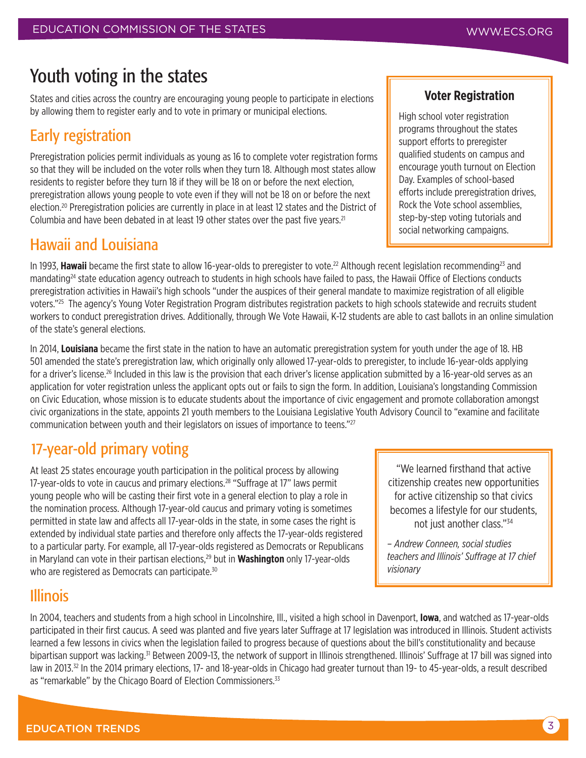### Youth voting in the states

States and cities across the country are encouraging young people to participate in elections by allowing them to register early and to vote in primary or municipal elections.

### Early registration

Preregistration policies permit individuals as young as 16 to complete voter registration forms so that they will be included on the voter rolls when they turn 18. Although most states allow residents to register before they turn 18 if they will be 18 on or before the next election, preregistration allows young people to vote even if they will not be 18 on or before the next election.20 Preregistration policies are currently in place in at least 12 states and the District of Columbia and have been debated in at least 19 other states over the past five years.<sup>21</sup>

### Hawaii and Louisiana

In 1993, Hawaii became the first state to allow 16-year-olds to preregister to vote.<sup>22</sup> Although recent legislation recommending<sup>23</sup> and mandating<sup>24</sup> state education agency outreach to students in high schools have failed to pass, the Hawaii Office of Elections conducts preregistration activities in Hawaii's high schools "under the auspices of their general mandate to maximize registration of all eligible voters."25 The agency's Young Voter Registration Program distributes registration packets to high schools statewide and recruits student workers to conduct preregistration drives. Additionally, through We Vote Hawaii, K-12 students are able to cast ballots in an online simulation of the state's general elections.

In 2014, **Louisiana** became the first state in the nation to have an automatic preregistration system for youth under the age of 18. HB 501 amended the state's preregistration law, which originally only allowed 17-year-olds to preregister, to include 16-year-olds applying for a driver's license.<sup>26</sup> Included in this law is the provision that each driver's license application submitted by a 16-year-old serves as an application for voter registration unless the applicant opts out or fails to sign the form. In addition, Louisiana's longstanding Commission on Civic Education, whose mission is to educate students about the importance of civic engagement and promote collaboration amongst civic organizations in the state, appoints 21 youth members to the Louisiana Legislative Youth Advisory Council to "examine and facilitate communication between youth and their legislators on issues of importance to teens."27

### 17-year-old primary voting

At least 25 states encourage youth participation in the political process by allowing 17-year-olds to vote in caucus and primary elections.<sup>28</sup> "Suffrage at 17" laws permit young people who will be casting their first vote in a general election to play a role in the nomination process. Although 17-year-old caucus and primary voting is sometimes permitted in state law and affects all 17-year-olds in the state, in some cases the right is extended by individual state parties and therefore only affects the 17-year-olds registered to a particular party. For example, all 17-year-olds registered as Democrats or Republicans in Maryland can vote in their partisan elections,29 but in **Washington** only 17-year-olds who are registered as Democrats can participate.<sup>30</sup>

"We learned firsthand that active citizenship creates new opportunities for active citizenship so that civics becomes a lifestyle for our students, not just another class."<sup>34</sup>

*– Andrew Conneen, social studies teachers and Illinois' Suffrage at 17 chief visionary*

### Illinois

In 2004, teachers and students from a high school in Lincolnshire, Ill., visited a high school in Davenport, **Iowa**, and watched as 17-year-olds participated in their first caucus. A seed was planted and five years later Suffrage at 17 legislation was introduced in Illinois. Student activists learned a few lessons in civics when the legislation failed to progress because of questions about the bill's constitutionality and because bipartisan support was lacking.31 Between 2009-13, the network of support in Illinois strengthened. Illinois' Suffrage at 17 bill was signed into law in 2013.<sup>32</sup> In the 2014 primary elections, 17- and 18-year-olds in Chicago had greater turnout than 19- to 45-year-olds, a result described as "remarkable" by the Chicago Board of Election Commissioners.<sup>33</sup>

#### **Voter Registration**

High school voter registration programs throughout the states support efforts to preregister qualified students on campus and encourage youth turnout on Election Day. Examples of school-based efforts include preregistration drives, Rock the Vote school assemblies, step-by-step voting tutorials and social networking campaigns.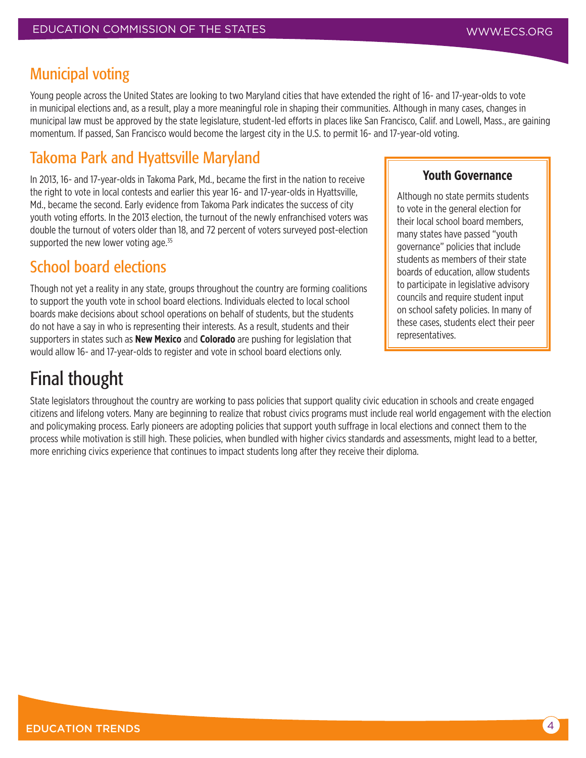#### Municipal voting

Young people across the United States are looking to two Maryland cities that have extended the right of 16- and 17-year-olds to vote in municipal elections and, as a result, play a more meaningful role in shaping their communities. Although in many cases, changes in municipal law must be approved by the state legislature, student-led efforts in places like San Francisco, Calif. and Lowell, Mass., are gaining momentum. If passed, San Francisco would become the largest city in the U.S. to permit 16- and 17-year-old voting.

### Takoma Park and Hyattsville Maryland

In 2013, 16- and 17-year-olds in Takoma Park, Md., became the first in the nation to receive the right to vote in local contests and earlier this year 16- and 17-year-olds in Hyattsville, Md., became the second. Early evidence from Takoma Park indicates the success of city youth voting efforts. In the 2013 election, the turnout of the newly enfranchised voters was double the turnout of voters older than 18, and 72 percent of voters surveyed post-election supported the new lower voting age.<sup>35</sup>

### School board elections

Though not yet a reality in any state, groups throughout the country are forming coalitions to support the youth vote in school board elections. Individuals elected to local school boards make decisions about school operations on behalf of students, but the students do not have a say in who is representing their interests. As a result, students and their supporters in states such as **New Mexico** and **Colorado** are pushing for legislation that would allow 16- and 17-year-olds to register and vote in school board elections only.

## Final thought

State legislators throughout the country are working to pass policies that support quality civic education in schools and create engaged citizens and lifelong voters. Many are beginning to realize that robust civics programs must include real world engagement with the election and policymaking process. Early pioneers are adopting policies that support youth suffrage in local elections and connect them to the process while motivation is still high. These policies, when bundled with higher civics standards and assessments, might lead to a better, more enriching civics experience that continues to impact students long after they receive their diploma.

#### **Youth Governance**

Although no state permits students to vote in the general election for their local school board members, many states have passed "youth governance" policies that include students as members of their state boards of education, allow students to participate in legislative advisory councils and require student input on school safety policies. In many of these cases, students elect their peer representatives.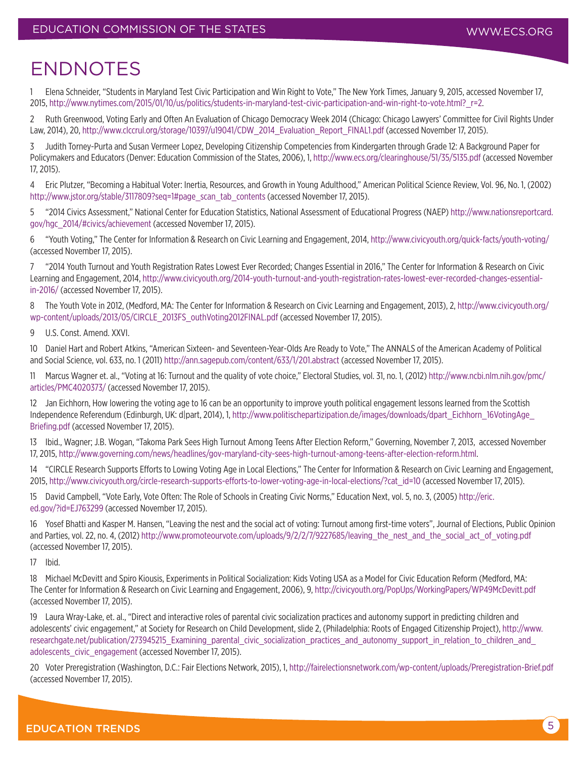## ENDNOTES

1 Elena Schneider, "Students in Maryland Test Civic Participation and Win Right to Vote," The New York Times, January 9, 2015, accessed November 17, 2015, [http://www.nytimes.com/2015/01/10/us/politics/students-in-maryland-test-civic-participation-and-win-right-to-vote.html?\\_r=2.](http://www.nytimes.com/2015/01/10/us/politics/students-in-maryland-test-civic-participation-and-win-)

2 Ruth Greenwood, Voting Early and Often An Evaluation of Chicago Democracy Week 2014 (Chicago: Chicago Lawyers' Committee for Civil Rights Under Law, 2014), 20, [http://www.clccrul.org/storage/10397/u19041/CDW\\_2014\\_Evaluation\\_Report\\_FINAL1.pdf](http://www.clccrul.org/storage/10397/u19041/CDW_2014_Evaluation_Report_FINAL1.pdf) (accessed November 17, 2015).

3 Judith Torney-Purta and Susan Vermeer Lopez, Developing Citizenship Competencies from Kindergarten through Grade 12: A Background Paper for Policymakers and Educators (Denver: Education Commission of the States, 2006), 1, <http://www.ecs.org/clearinghouse/51/35/5135.pdf>(accessed November 17, 2015).

4 Eric Plutzer, "Becoming a Habitual Voter: Inertia, Resources, and Growth in Young Adulthood," American Political Science Review, Vol. 96, No. 1, (2002) [http://www.jstor.org/stable/3117809?seq=1#page\\_scan\\_tab\\_contents](http://www.jstor.org/stable/3117809?seq=1#page_scan_tab_contents) (accessed November 17, 2015).

5 "2014 Civics Assessment," National Center for Education Statistics, National Assessment of Educational Progress (NAEP) [http://www.nationsreportcard.](http://www.nationsreportcard.gov/hgc_2014/#civics/achievement) [gov/hgc\\_2014/#civics/achievement](http://www.nationsreportcard.gov/hgc_2014/#civics/achievement) (accessed November 17, 2015).

6 "Youth Voting," The Center for Information & Research on Civic Learning and Engagement, 2014, <http://www.civicyouth.org/quick-facts/youth-voting/> (accessed November 17, 2015).

7 "2014 Youth Turnout and Youth Registration Rates Lowest Ever Recorded; Changes Essential in 2016," The Center for Information & Research on Civic Learning and Engagement, 2014, [http://www.civicyouth.org/2014-youth-turnout-and-youth-registration-rates-lowest-ever-recorded-changes-essential](http://www.civicyouth.org/2014-youth-turnout-and-youth-registration-rates-lowest-ever-recorded-chang)[in-2016/](http://www.civicyouth.org/2014-youth-turnout-and-youth-registration-rates-lowest-ever-recorded-chang) (accessed November 17, 2015).

8 The Youth Vote in 2012, (Medford, MA: The Center for Information & Research on Civic Learning and Engagement, 2013), 2, [http://www.civicyouth.org/](http://www.civicyouth.org/wp-content/uploads/2013/05/CIRCLE_2013FS_outhVoting2012FINAL.pdf) [wp-content/uploads/2013/05/CIRCLE\\_2013FS\\_outhVoting2012FINAL.pdf](http://www.civicyouth.org/wp-content/uploads/2013/05/CIRCLE_2013FS_outhVoting2012FINAL.pdf) (accessed November 17, 2015).

9 U.S. Const. Amend. XXVI.

10 Daniel Hart and Robert Atkins, "American Sixteen- and Seventeen-Year-Olds Are Ready to Vote," The ANNALS of the American Academy of Political and Social Science, vol. 633, no. 1 (2011) <http://ann.sagepub.com/content/633/1/201.abstract>(accessed November 17, 2015).

11 Marcus Wagner et. al., "Voting at 16: Turnout and the quality of vote choice," Electoral Studies, vol. 31, no. 1, (2012) [http://www.ncbi.nlm.nih.gov/pmc/](http://www.ncbi.nlm.nih.gov/pmc/articles/PMC4020373/) [articles/PMC4020373/](http://www.ncbi.nlm.nih.gov/pmc/articles/PMC4020373/) (accessed November 17, 2015).

12 Jan Eichhorn, How lowering the voting age to 16 can be an opportunity to improve youth political engagement lessons learned from the Scottish Independence Referendum (Edinburgh, UK: d|part, 2014), 1, [http://www.politischepartizipation.de/images/downloads/dpart\\_Eichhorn\\_16VotingAge\\_](http://www.politischepartizipation.de/images/downloads/dpart_Eichhorn_16VotingAge_Briefing.pdf) [Briefing.pdf](http://www.politischepartizipation.de/images/downloads/dpart_Eichhorn_16VotingAge_Briefing.pdf) (accessed November 17, 2015).

13 Ibid., Wagner; J.B. Wogan, "Takoma Park Sees High Turnout Among Teens After Election Reform," Governing, November 7, 2013, accessed November 17, 2015, [http://www.governing.com/news/headlines/gov-maryland-city-sees-high-turnout-among-teens-after-election-reform.html](http://www.governing.com/news/headlines/gov-maryland-city-sees-high-turnout-among-teens-after-electi).

14 "CIRCLE Research Supports Efforts to Lowing Voting Age in Local Elections," The Center for Information & Research on Civic Learning and Engagement, 2015, [http://www.civicyouth.org/circle-research-supports-efforts-to-lower-voting-age-in-local-elections/?cat\\_id=10](http://www.civicyouth.org/circle-research-supports-efforts-to-lower-voting-age-in-local-elections/?c) (accessed November 17, 2015).

15 David Campbell, "Vote Early, Vote Often: The Role of Schools in Creating Civic Norms," Education Next, vol. 5, no. 3, (2005) [http://eric.](http://eric.ed.gov/?id=EJ763299) [ed.gov/?id=EJ763299](http://eric.ed.gov/?id=EJ763299) (accessed November 17, 2015).

16 Yosef Bhatti and Kasper M. Hansen, "Leaving the nest and the social act of voting: Turnout among first-time voters", Journal of Elections, Public Opinion and Parties, vol. 22, no. 4, (2012) [http://www.promoteourvote.com/uploads/9/2/2/7/9227685/leaving\\_the\\_nest\\_and\\_the\\_social\\_act\\_of\\_voting.pdf](http://www.promoteourvote.com/uploads/9/2/2/7/9227685/leaving_the_nest_and_the_social_act_of_voting.) (accessed November 17, 2015).

17 Ibid.

18 Michael McDevitt and Spiro Kiousis, Experiments in Political Socialization: Kids Voting USA as a Model for Civic Education Reform (Medford, MA: The Center for Information & Research on Civic Learning and Engagement, 2006), 9,<http://civicyouth.org/PopUps/WorkingPapers/WP49McDevitt.pdf> (accessed November 17, 2015).

19 Laura Wray-Lake, et. al., "Direct and interactive roles of parental civic socialization practices and autonomy support in predicting children and adolescents' civic engagement," at Society for Research on Child Development, slide 2, (Philadelphia: Roots of Engaged Citizenship Project), [http://www.](http://www.researchgate.net/publication/273945215_Examining_parental_civic_socialization_practices_a) researchgate.net/publication/273945215\_Examining\_parental\_civic\_socialization\_practices\_and\_autonomy\_support\_in\_relation\_to\_children\_and [adolescents\\_civic\\_engagement](http://www.researchgate.net/publication/273945215_Examining_parental_civic_socialization_practices_a) (accessed November 17, 2015).

20 Voter Preregistration (Washington, D.C.: Fair Elections Network, 2015), 1, [http://fairelectionsnetwork.com/wp-content/uploads/Preregistration-Brief.pdf](http://fairelectionsnetwork.com/wp-content/uploads/Preregistration-Brief.pdf )  (accessed November 17, 2015).